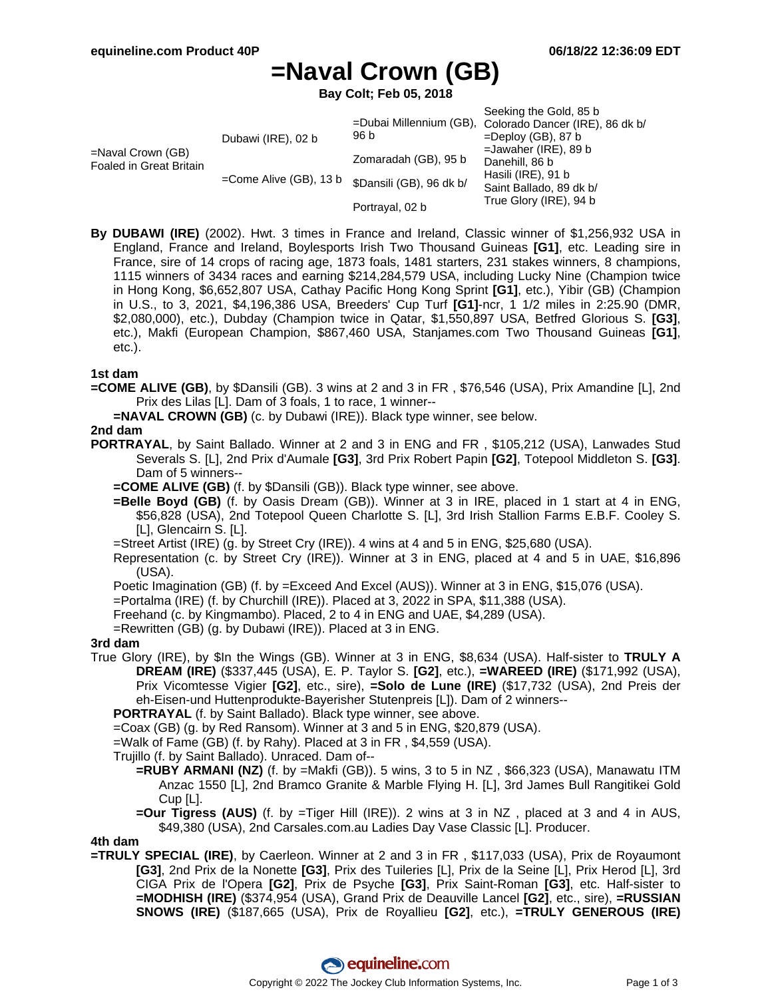# **=Naval Crown (GB)**

**Bay Colt; Feb 05, 2018**

|                                                        |                           |                          | Seeking the Gold, 85 b<br>=Dubai Millennium (GB), Colorado Dancer (IRE), 86 dk b/                                   |
|--------------------------------------------------------|---------------------------|--------------------------|---------------------------------------------------------------------------------------------------------------------|
| $=$ Naval Crown (GB)<br><b>Foaled in Great Britain</b> | Dubawi (IRE), 02 b        | 96 b                     | $=$ Deploy (GB), 87 b<br>$=$ Jawaher (IRE), 89 b<br>Danehill, 86 b<br>Hasili (IRE), 91 b<br>Saint Ballado, 89 dk b/ |
|                                                        |                           |                          |                                                                                                                     |
|                                                        | $=$ Come Alive (GB), 13 b | Zomaradah (GB), 95 b     |                                                                                                                     |
|                                                        |                           | \$Dansili (GB), 96 dk b/ |                                                                                                                     |
|                                                        |                           | Portrayal, 02 b          | True Glory (IRE), 94 b                                                                                              |

**By DUBAWI (IRE)** (2002). Hwt. 3 times in France and Ireland, Classic winner of \$1,256,932 USA in England, France and Ireland, Boylesports Irish Two Thousand Guineas **[G1]**, etc. Leading sire in France, sire of 14 crops of racing age, 1873 foals, 1481 starters, 231 stakes winners, 8 champions, 1115 winners of 3434 races and earning \$214,284,579 USA, including Lucky Nine (Champion twice in Hong Kong, \$6,652,807 USA, Cathay Pacific Hong Kong Sprint **[G1]**, etc.), Yibir (GB) (Champion in U.S., to 3, 2021, \$4,196,386 USA, Breeders' Cup Turf **[G1]**-ncr, 1 1/2 miles in 2:25.90 (DMR, \$2,080,000), etc.), Dubday (Champion twice in Qatar, \$1,550,897 USA, Betfred Glorious S. **[G3]**, etc.), Makfi (European Champion, \$867,460 USA, Stanjames.com Two Thousand Guineas **[G1]**, etc.).

#### **1st dam**

**=COME ALIVE (GB)**, by \$Dansili (GB). 3 wins at 2 and 3 in FR , \$76,546 (USA), Prix Amandine [L], 2nd Prix des Lilas [L]. Dam of 3 foals, 1 to race, 1 winner--

**=NAVAL CROWN (GB)** (c. by Dubawi (IRE)). Black type winner, see below.

#### **2nd dam**

- **PORTRAYAL**, by Saint Ballado. Winner at 2 and 3 in ENG and FR , \$105,212 (USA), Lanwades Stud Severals S. [L], 2nd Prix d'Aumale **[G3]**, 3rd Prix Robert Papin **[G2]**, Totepool Middleton S. **[G3]**. Dam of 5 winners--
	- **=COME ALIVE (GB)** (f. by \$Dansili (GB)). Black type winner, see above.
	- **=Belle Boyd (GB)** (f. by Oasis Dream (GB)). Winner at 3 in IRE, placed in 1 start at 4 in ENG, \$56,828 (USA), 2nd Totepool Queen Charlotte S. [L], 3rd Irish Stallion Farms E.B.F. Cooley S. [L], Glencairn S. [L].
	- =Street Artist (IRE) (g. by Street Cry (IRE)). 4 wins at 4 and 5 in ENG, \$25,680 (USA).
	- Representation (c. by Street Cry (IRE)). Winner at 3 in ENG, placed at 4 and 5 in UAE, \$16,896 (USA).

Poetic Imagination (GB) (f. by =Exceed And Excel (AUS)). Winner at 3 in ENG, \$15,076 (USA).

- =Portalma (IRE) (f. by Churchill (IRE)). Placed at 3, 2022 in SPA, \$11,388 (USA).
- Freehand (c. by Kingmambo). Placed, 2 to 4 in ENG and UAE, \$4,289 (USA).
- =Rewritten (GB) (g. by Dubawi (IRE)). Placed at 3 in ENG.

#### **3rd dam**

True Glory (IRE), by \$In the Wings (GB). Winner at 3 in ENG, \$8,634 (USA). Half-sister to **TRULY A DREAM (IRE)** (\$337,445 (USA), E. P. Taylor S. **[G2]**, etc.), **=WAREED (IRE)** (\$171,992 (USA), Prix Vicomtesse Vigier **[G2]**, etc., sire), **=Solo de Lune (IRE)** (\$17,732 (USA), 2nd Preis der eh-Eisen-und Huttenprodukte-Bayerisher Stutenpreis [L]). Dam of 2 winners--

**PORTRAYAL** (f. by Saint Ballado). Black type winner, see above.

=Coax (GB) (g. by Red Ransom). Winner at 3 and 5 in ENG, \$20,879 (USA).

=Walk of Fame (GB) (f. by Rahy). Placed at 3 in FR , \$4,559 (USA).

Trujillo (f. by Saint Ballado). Unraced. Dam of--

- **=RUBY ARMANI (NZ)** (f. by =Makfi (GB)). 5 wins, 3 to 5 in NZ , \$66,323 (USA), Manawatu ITM Anzac 1550 [L], 2nd Bramco Granite & Marble Flying H. [L], 3rd James Bull Rangitikei Gold Cup [L].
- **=Our Tigress (AUS)** (f. by =Tiger Hill (IRE)). 2 wins at 3 in NZ , placed at 3 and 4 in AUS, \$49,380 (USA), 2nd Carsales.com.au Ladies Day Vase Classic [L]. Producer.

#### **4th dam**

**=TRULY SPECIAL (IRE)**, by Caerleon. Winner at 2 and 3 in FR , \$117,033 (USA), Prix de Royaumont **[G3]**, 2nd Prix de la Nonette **[G3]**, Prix des Tuileries [L], Prix de la Seine [L], Prix Herod [L], 3rd CIGA Prix de l'Opera **[G2]**, Prix de Psyche **[G3]**, Prix Saint-Roman **[G3]**, etc. Half-sister to **=MODHISH (IRE)** (\$374,954 (USA), Grand Prix de Deauville Lancel **[G2]**, etc., sire), **=RUSSIAN SNOWS (IRE)** (\$187,665 (USA), Prix de Royallieu **[G2]**, etc.), **=TRULY GENEROUS (IRE)**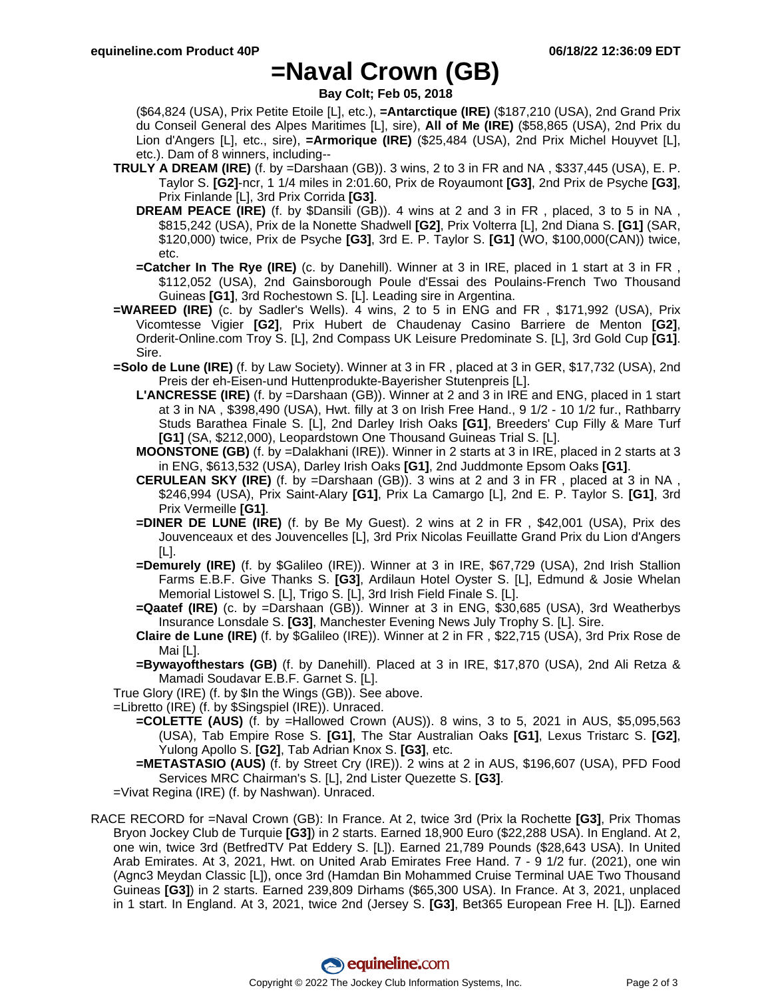### **=Naval Crown (GB)**

**Bay Colt; Feb 05, 2018**

(\$64,824 (USA), Prix Petite Etoile [L], etc.), **=Antarctique (IRE)** (\$187,210 (USA), 2nd Grand Prix du Conseil General des Alpes Maritimes [L], sire), **All of Me (IRE)** (\$58,865 (USA), 2nd Prix du Lion d'Angers [L], etc., sire), **=Armorique (IRE)** (\$25,484 (USA), 2nd Prix Michel Houyvet [L], etc.). Dam of 8 winners, including--

- **TRULY A DREAM (IRE)** (f. by =Darshaan (GB)). 3 wins, 2 to 3 in FR and NA , \$337,445 (USA), E. P. Taylor S. **[G2]**-ncr, 1 1/4 miles in 2:01.60, Prix de Royaumont **[G3]**, 2nd Prix de Psyche **[G3]**, Prix Finlande [L], 3rd Prix Corrida **[G3]**.
	- **DREAM PEACE (IRE)** (f. by \$Dansili (GB)). 4 wins at 2 and 3 in FR , placed, 3 to 5 in NA , \$815,242 (USA), Prix de la Nonette Shadwell **[G2]**, Prix Volterra [L], 2nd Diana S. **[G1]** (SAR, \$120,000) twice, Prix de Psyche **[G3]**, 3rd E. P. Taylor S. **[G1]** (WO, \$100,000(CAN)) twice, etc.
	- **=Catcher In The Rye (IRE)** (c. by Danehill). Winner at 3 in IRE, placed in 1 start at 3 in FR , \$112,052 (USA), 2nd Gainsborough Poule d'Essai des Poulains-French Two Thousand Guineas **[G1]**, 3rd Rochestown S. [L]. Leading sire in Argentina.
- **=WAREED (IRE)** (c. by Sadler's Wells). 4 wins, 2 to 5 in ENG and FR , \$171,992 (USA), Prix Vicomtesse Vigier **[G2]**, Prix Hubert de Chaudenay Casino Barriere de Menton **[G2]**, Orderit-Online.com Troy S. [L], 2nd Compass UK Leisure Predominate S. [L], 3rd Gold Cup **[G1]**. Sire.
- **=Solo de Lune (IRE)** (f. by Law Society). Winner at 3 in FR , placed at 3 in GER, \$17,732 (USA), 2nd Preis der eh-Eisen-und Huttenprodukte-Bayerisher Stutenpreis [L].
	- **L'ANCRESSE (IRE)** (f. by =Darshaan (GB)). Winner at 2 and 3 in IRE and ENG, placed in 1 start at 3 in NA , \$398,490 (USA), Hwt. filly at 3 on Irish Free Hand., 9 1/2 - 10 1/2 fur., Rathbarry Studs Barathea Finale S. [L], 2nd Darley Irish Oaks **[G1]**, Breeders' Cup Filly & Mare Turf **[G1]** (SA, \$212,000), Leopardstown One Thousand Guineas Trial S. [L].
	- **MOONSTONE (GB)** (f. by =Dalakhani (IRE)). Winner in 2 starts at 3 in IRE, placed in 2 starts at 3 in ENG, \$613,532 (USA), Darley Irish Oaks **[G1]**, 2nd Juddmonte Epsom Oaks **[G1]**.
	- **CERULEAN SKY (IRE)** (f. by =Darshaan (GB)). 3 wins at 2 and 3 in FR , placed at 3 in NA , \$246,994 (USA), Prix Saint-Alary **[G1]**, Prix La Camargo [L], 2nd E. P. Taylor S. **[G1]**, 3rd Prix Vermeille **[G1]**.
	- **=DINER DE LUNE (IRE)** (f. by Be My Guest). 2 wins at 2 in FR , \$42,001 (USA), Prix des Jouvenceaux et des Jouvencelles [L], 3rd Prix Nicolas Feuillatte Grand Prix du Lion d'Angers [L].
	- **=Demurely (IRE)** (f. by \$Galileo (IRE)). Winner at 3 in IRE, \$67,729 (USA), 2nd Irish Stallion Farms E.B.F. Give Thanks S. **[G3]**, Ardilaun Hotel Oyster S. [L], Edmund & Josie Whelan Memorial Listowel S. [L], Trigo S. [L], 3rd Irish Field Finale S. [L].
	- **=Qaatef (IRE)** (c. by =Darshaan (GB)). Winner at 3 in ENG, \$30,685 (USA), 3rd Weatherbys Insurance Lonsdale S. **[G3]**, Manchester Evening News July Trophy S. [L]. Sire.
	- **Claire de Lune (IRE)** (f. by \$Galileo (IRE)). Winner at 2 in FR , \$22,715 (USA), 3rd Prix Rose de Mai [L].
	- **=Bywayofthestars (GB)** (f. by Danehill). Placed at 3 in IRE, \$17,870 (USA), 2nd Ali Retza & Mamadi Soudavar E.B.F. Garnet S. [L].

True Glory (IRE) (f. by \$In the Wings (GB)). See above.

=Libretto (IRE) (f. by \$Singspiel (IRE)). Unraced.

- **=COLETTE (AUS)** (f. by =Hallowed Crown (AUS)). 8 wins, 3 to 5, 2021 in AUS, \$5,095,563 (USA), Tab Empire Rose S. **[G1]**, The Star Australian Oaks **[G1]**, Lexus Tristarc S. **[G2]**, Yulong Apollo S. **[G2]**, Tab Adrian Knox S. **[G3]**, etc.
- **=METASTASIO (AUS)** (f. by Street Cry (IRE)). 2 wins at 2 in AUS, \$196,607 (USA), PFD Food Services MRC Chairman's S. [L], 2nd Lister Quezette S. **[G3]**.

=Vivat Regina (IRE) (f. by Nashwan). Unraced.

RACE RECORD for =Naval Crown (GB): In France. At 2, twice 3rd (Prix la Rochette **[G3]**, Prix Thomas Bryon Jockey Club de Turquie **[G3]**) in 2 starts. Earned 18,900 Euro (\$22,288 USA). In England. At 2, one win, twice 3rd (BetfredTV Pat Eddery S. [L]). Earned 21,789 Pounds (\$28,643 USA). In United Arab Emirates. At 3, 2021, Hwt. on United Arab Emirates Free Hand. 7 - 9 1/2 fur. (2021), one win (Agnc3 Meydan Classic [L]), once 3rd (Hamdan Bin Mohammed Cruise Terminal UAE Two Thousand Guineas **[G3]**) in 2 starts. Earned 239,809 Dirhams (\$65,300 USA). In France. At 3, 2021, unplaced in 1 start. In England. At 3, 2021, twice 2nd (Jersey S. **[G3]**, Bet365 European Free H. [L]). Earned